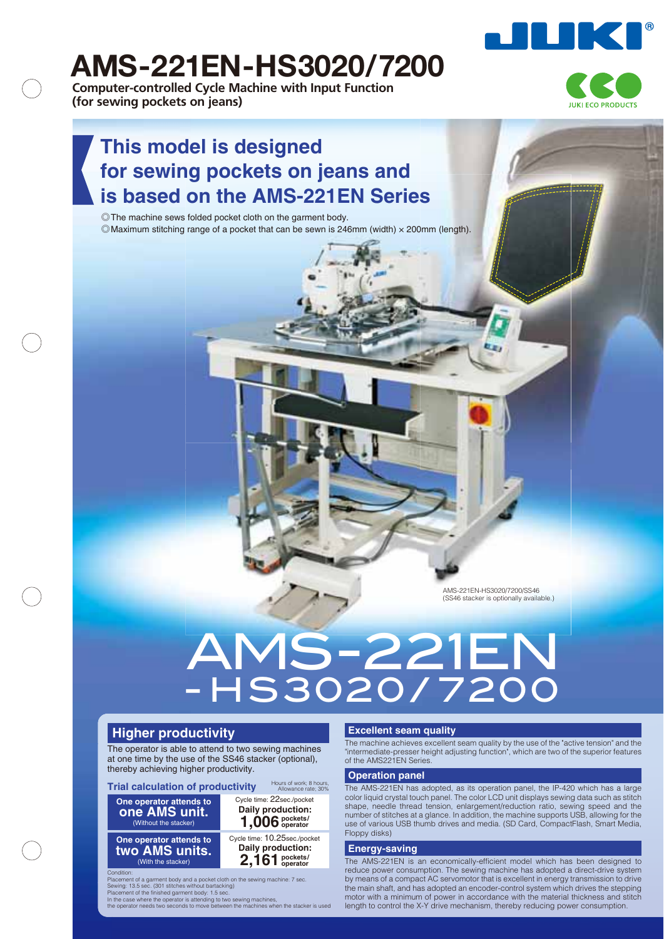

## **AMS-221EN-HS3020/7200**

**Computer-controlled Cycle Machine with Input Function (for sewing pockets on jeans)**



## **This model is designed for sewing pockets on jeans and is based on the AMS-221EN Series**

◎ The machine sews folded pocket cloth on the garment body. ◎ Maximum stitching range of a pocket that can be sewn is 246mm (width) × 200mm (length).

> AMS-221EN-HS3020/7200/SS46 (SS46 stacker is optionally available.)

# - HS3020/ 7200 AMS-221EN

#### **Higher productivity**

The operator is able to attend to two sewing machines at one time by the use of the SS46 stacker (optional), thereby achieving higher productivity.

**Trial calculation of productivity**

**One operator attends to one AMS unit.** (Without the stacker)

Hours of work; 8 hours, Allowance rate; 30% Cycle time: 22sec./pocket **1,006 pockets/ operator Daily production:**

**One operator attends to two AMS units.** (With the stacker) Cycle time: 10.25sec./pocket **2,161 pockets/ operator Daily production:**

Condition: Placement of a garment body and a pocket cloth on the sewing machine: 7 sec. Sewing: 13.5 sec. (301 stitches without bartacking) Placement of the finished garment body: 1.5 sec.

In the case where the operator is attending to two sewing machines, the operator needs two seconds to move between the machines when the stacker is used

#### **Excellent seam quality**

The machine achieves excellent seam quality by the use of the "active tension" and the "intermediate-presser height adjusting function", which are two of the superior features of the AMS221EN Series.

#### **Operation panel**

The AMS-221EN has adopted, as its operation panel, the IP-420 which has a large color liquid crystal touch panel. The color LCD unit displays sewing data such as stitch shape, needle thread tension, enlargement/reduction ratio, sewing speed and the number of stitches at a glance. In addition, the machine supports USB, allowing for the use of various USB thumb drives and media. (SD Card, CompactFlash, Smart Media, Floppy disks)

#### **Energy-saving**

The AMS-221EN is an economically-efficient model which has been designed to reduce power consumption. The sewing machine has adopted a direct-drive system by means of a compact AC servomotor that is excellent in energy transmission to drive the main shaft, and has adopted an encoder-control system which drives the stepping motor with a minimum of power in accordance with the material thickness and stitch length to control the X-Y drive mechanism, thereby reducing power consumption.